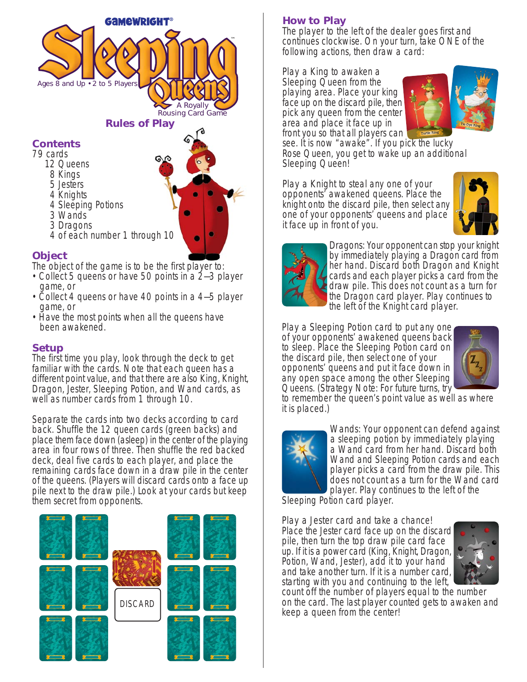

## **Object**

The object of the game is to be the first player to:

4 of each number 1 through 10

- •Collect 5 queens or have 50 points in a 2—3 player game, or
- Collect 4 queens or have 40 points in a 4–5 player game, or
- Have the most points when all the queens have been awakened.

### **Setup**

The first time you play, look through the deck to get familiar with the cards. Note that each queen has a different point value, and that there are also King, Knight, Dragon, Jester, Sleeping Potion, and Wand cards, as well as number cards from 1 through 10.

Separate the cards into two decks according to card back. Shuffle the 12 queen cards (green backs) and place them face down (asleep) in the center of the playing area in four rows of three. Then shuffle the red backed deck, deal five cards to each player, and place the remaining cards face down in a draw pile in the center of the queens. (Players will discard cards onto a face up pile next to the draw pile.) Look at your cards but keep them secret from opponents.



# **How to Play**

The player to the left of the dealer goes first and continues clockwise. On your turn, take ONE of the following actions, then draw a card:

Play a King to awaken a Sleeping Queen from the playing area. Place your king face up on the discard pile, then pick any queen from the center area and place it face up in front you so that all players can



see. It is now "awake". If you pick the lucky Rose Queen, you get to wake up an additional Sleeping Queen!

Play a Knight to steal any one of your opponents' awakened queens. Place the knight onto the discard pile, then select any one of your opponents' queens and place it face up in front of you.





Dragons: Your opponent can stop your knight by immediately playing a Dragon card from her hand. Discard both Dragon and Knight cards and each player picks a card from the draw pile. This does not count as a turn for the Dragon card player. Play continues to the left of the Knight card player.

Play a Sleeping Potion card to put any one of your opponents' awakened queens back to sleep. Place the Sleeping Potion card on the discard pile, then select one of your opponents' queens and put it face down in any open space among the other Sleeping Queens. (Strategy Note: For future turns, try



to remember the queen's point value as well as where it is placed.)



Wands: Your opponent can defend against a sleeping potion by immediately playing a Wand card from her hand. Discard both Wand and Sleeping Potion cards and each player picks a card from the draw pile. This does not count as a turn for the Wand card player. Play continues to the left of the

Sleeping Potion card player.

Play a Jester card and take a chance! Place the Jester card face up on the discard pile, then turn the top draw pile card face up. If it is a power card (King, Knight, Dragon, Potion, Wand, Jester), add it to your hand and take another turn. If it is a number card, starting with you and continuing to the left,



count off the number of players equal to the number on the card. The last player counted gets to awaken and keep a queen from the center!